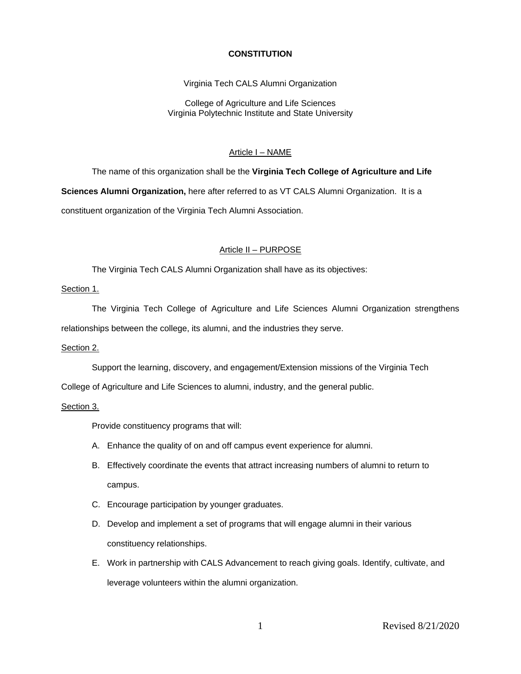# **CONSTITUTION**

Virginia Tech CALS Alumni Organization

College of Agriculture and Life Sciences Virginia Polytechnic Institute and State University

# Article I – NAME

The name of this organization shall be the **Virginia Tech College of Agriculture and Life Sciences Alumni Organization,** here after referred to as VT CALS Alumni Organization. It is a constituent organization of the Virginia Tech Alumni Association.

### Article II – PURPOSE

The Virginia Tech CALS Alumni Organization shall have as its objectives:

# Section 1.

The Virginia Tech College of Agriculture and Life Sciences Alumni Organization strengthens relationships between the college, its alumni, and the industries they serve.

### Section 2.

Support the learning, discovery, and engagement/Extension missions of the Virginia Tech

College of Agriculture and Life Sciences to alumni, industry, and the general public.

# Section 3.

Provide constituency programs that will:

- A. Enhance the quality of on and off campus event experience for alumni.
- B. Effectively coordinate the events that attract increasing numbers of alumni to return to campus.
- C. Encourage participation by younger graduates.
- D. Develop and implement a set of programs that will engage alumni in their various constituency relationships.
- E. Work in partnership with CALS Advancement to reach giving goals. Identify, cultivate, and leverage volunteers within the alumni organization.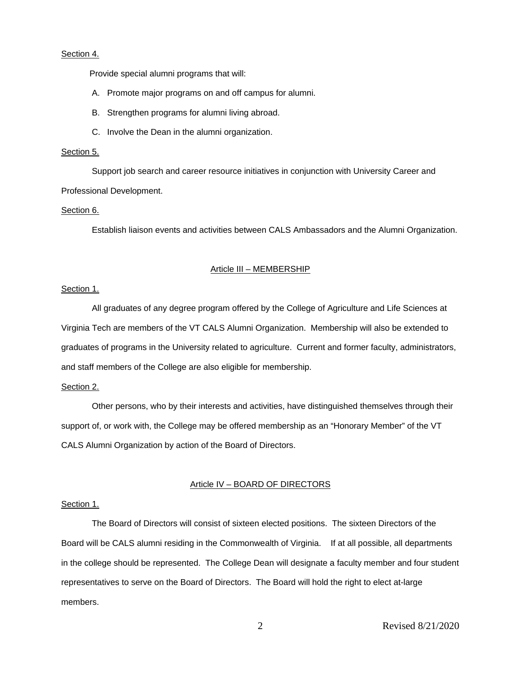### Section 4.

Provide special alumni programs that will:

- A. Promote major programs on and off campus for alumni.
- B. Strengthen programs for alumni living abroad.
- C. Involve the Dean in the alumni organization.

### Section 5.

Support job search and career resource initiatives in conjunction with University Career and Professional Development.

# Section 6.

Establish liaison events and activities between CALS Ambassadors and the Alumni Organization.

#### Article III – MEMBERSHIP

### Section 1.

 All graduates of any degree program offered by the College of Agriculture and Life Sciences at Virginia Tech are members of the VT CALS Alumni Organization. Membership will also be extended to graduates of programs in the University related to agriculture. Current and former faculty, administrators, and staff members of the College are also eligible for membership.

### Section 2.

Other persons, who by their interests and activities, have distinguished themselves through their support of, or work with, the College may be offered membership as an "Honorary Member" of the VT CALS Alumni Organization by action of the Board of Directors.

#### Article IV – BOARD OF DIRECTORS

#### Section 1.

 The Board of Directors will consist of sixteen elected positions. The sixteen Directors of the Board will be CALS alumni residing in the Commonwealth of Virginia. If at all possible, all departments in the college should be represented. The College Dean will designate a faculty member and four student representatives to serve on the Board of Directors. The Board will hold the right to elect at-large members.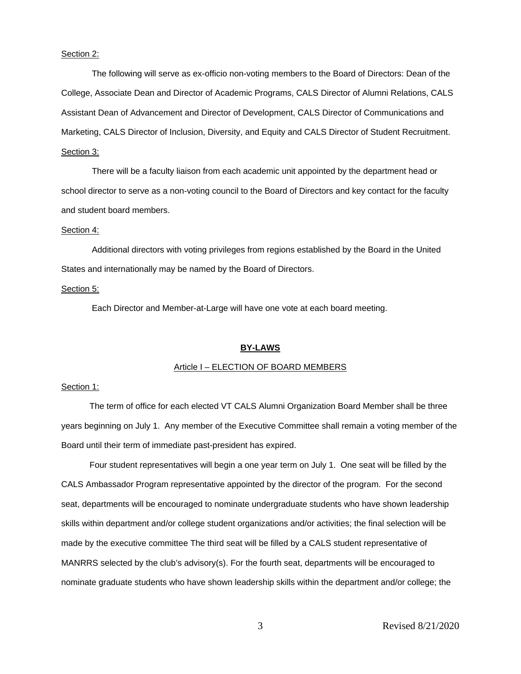#### Section 2:

 The following will serve as ex-officio non-voting members to the Board of Directors: Dean of the College, Associate Dean and Director of Academic Programs, CALS Director of Alumni Relations, CALS Assistant Dean of Advancement and Director of Development, CALS Director of Communications and Marketing, CALS Director of Inclusion, Diversity, and Equity and CALS Director of Student Recruitment. Section 3:

 There will be a faculty liaison from each academic unit appointed by the department head or school director to serve as a non-voting council to the Board of Directors and key contact for the faculty and student board members.

### Section 4:

 Additional directors with voting privileges from regions established by the Board in the United States and internationally may be named by the Board of Directors.

### Section 5:

Each Director and Member-at-Large will have one vote at each board meeting.

### **BY-LAWS**

# Article I – ELECTION OF BOARD MEMBERS

### Section 1:

 The term of office for each elected VT CALS Alumni Organization Board Member shall be three years beginning on July 1. Any member of the Executive Committee shall remain a voting member of the Board until their term of immediate past-president has expired.

 Four student representatives will begin a one year term on July 1. One seat will be filled by the CALS Ambassador Program representative appointed by the director of the program. For the second seat, departments will be encouraged to nominate undergraduate students who have shown leadership skills within department and/or college student organizations and/or activities; the final selection will be made by the executive committee The third seat will be filled by a CALS student representative of MANRRS selected by the club's advisory(s). For the fourth seat, departments will be encouraged to nominate graduate students who have shown leadership skills within the department and/or college; the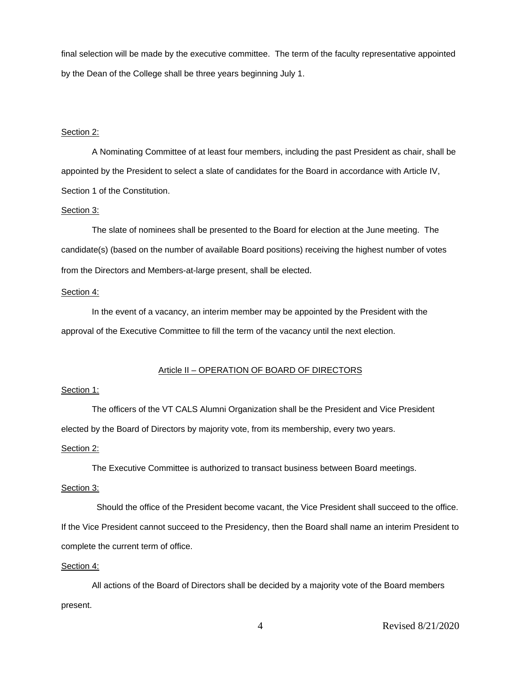final selection will be made by the executive committee. The term of the faculty representative appointed by the Dean of the College shall be three years beginning July 1.

### Section 2:

 A Nominating Committee of at least four members, including the past President as chair, shall be appointed by the President to select a slate of candidates for the Board in accordance with Article IV, Section 1 of the Constitution.

# Section 3:

 The slate of nominees shall be presented to the Board for election at the June meeting. The candidate(s) (based on the number of available Board positions) receiving the highest number of votes from the Directors and Members-at-large present, shall be elected.

#### Section 4:

 In the event of a vacancy, an interim member may be appointed by the President with the approval of the Executive Committee to fill the term of the vacancy until the next election.

# Article II – OPERATION OF BOARD OF DIRECTORS

# Section 1:

The officers of the VT CALS Alumni Organization shall be the President and Vice President elected by the Board of Directors by majority vote, from its membership, every two years.

## Section 2:

The Executive Committee is authorized to transact business between Board meetings.

### Section 3:

 Should the office of the President become vacant, the Vice President shall succeed to the office. If the Vice President cannot succeed to the Presidency, then the Board shall name an interim President to complete the current term of office.

# Section 4:

All actions of the Board of Directors shall be decided by a majority vote of the Board members present.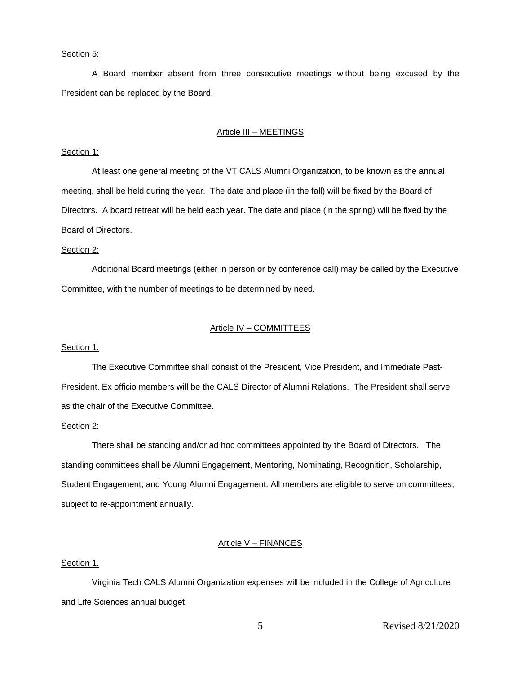#### Section 5:

 A Board member absent from three consecutive meetings without being excused by the President can be replaced by the Board.

#### Article III – MEETINGS

### Section 1:

 At least one general meeting of the VT CALS Alumni Organization, to be known as the annual meeting, shall be held during the year. The date and place (in the fall) will be fixed by the Board of Directors. A board retreat will be held each year. The date and place (in the spring) will be fixed by the Board of Directors.

## Section 2:

 Additional Board meetings (either in person or by conference call) may be called by the Executive Committee, with the number of meetings to be determined by need.

# Article IV – COMMITTEES

### Section 1:

 The Executive Committee shall consist of the President, Vice President, and Immediate Past-President. Ex officio members will be the CALS Director of Alumni Relations. The President shall serve as the chair of the Executive Committee.

# Section 2:

 There shall be standing and/or ad hoc committees appointed by the Board of Directors. The standing committees shall be Alumni Engagement, Mentoring, Nominating, Recognition, Scholarship, Student Engagement, and Young Alumni Engagement. All members are eligible to serve on committees, subject to re-appointment annually.

# Article V – FINANCES

# Section 1.

 Virginia Tech CALS Alumni Organization expenses will be included in the College of Agriculture and Life Sciences annual budget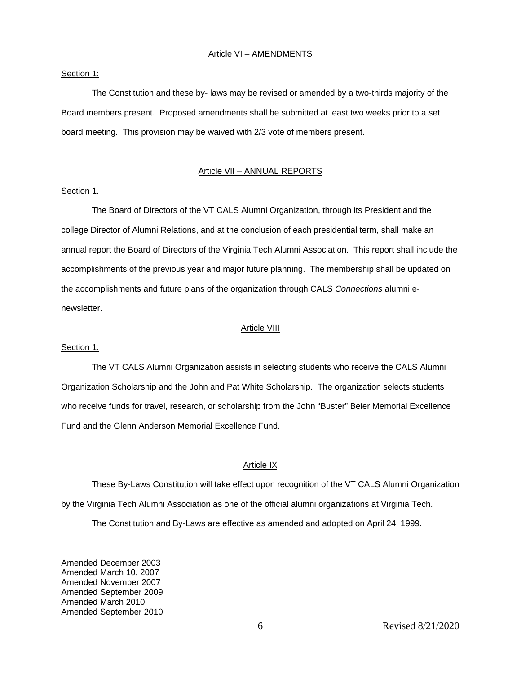### Article VI – AMENDMENTS

### Section 1:

 The Constitution and these by- laws may be revised or amended by a two-thirds majority of the Board members present. Proposed amendments shall be submitted at least two weeks prior to a set board meeting. This provision may be waived with 2/3 vote of members present.

### Article VII – ANNUAL REPORTS

# Section 1.

 The Board of Directors of the VT CALS Alumni Organization, through its President and the college Director of Alumni Relations, and at the conclusion of each presidential term, shall make an annual report the Board of Directors of the Virginia Tech Alumni Association. This report shall include the accomplishments of the previous year and major future planning. The membership shall be updated on the accomplishments and future plans of the organization through CALS *Connections* alumni enewsletter.

#### Article VIII

#### Section 1:

 The VT CALS Alumni Organization assists in selecting students who receive the CALS Alumni Organization Scholarship and the John and Pat White Scholarship. The organization selects students who receive funds for travel, research, or scholarship from the John "Buster" Beier Memorial Excellence Fund and the Glenn Anderson Memorial Excellence Fund.

### Article IX

These By-Laws Constitution will take effect upon recognition of the VT CALS Alumni Organization by the Virginia Tech Alumni Association as one of the official alumni organizations at Virginia Tech. The Constitution and By-Laws are effective as amended and adopted on April 24, 1999.

Amended December 2003 Amended March 10, 2007 Amended November 2007 Amended September 2009 Amended March 2010 Amended September 2010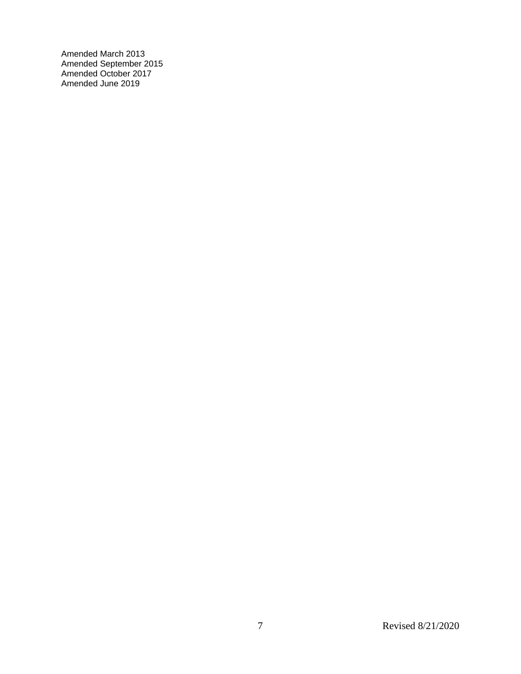Amended March 2013 Amended September 2015 Amended October 2017 Amended June 2019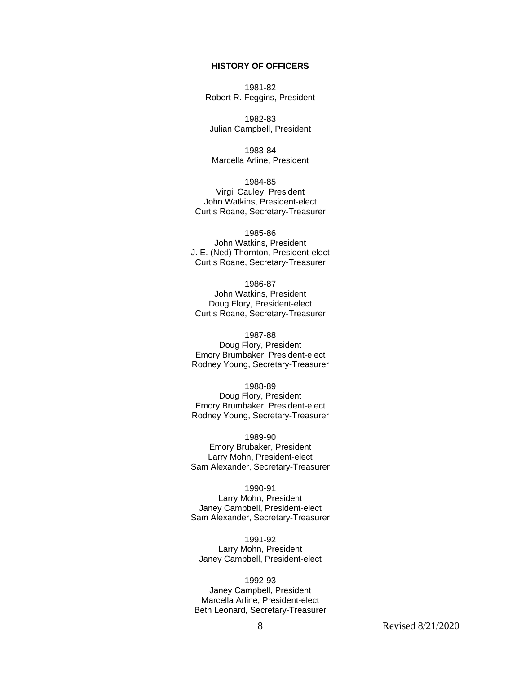# **HISTORY OF OFFICERS**

1981-82 Robert R. Feggins, President

1982-83 Julian Campbell, President

1983-84 Marcella Arline, President

1984-85 Virgil Cauley, President John Watkins, President-elect Curtis Roane, Secretary-Treasurer

1985-86 John Watkins, President J. E. (Ned) Thornton, President-elect Curtis Roane, Secretary-Treasurer

1986-87 John Watkins, President Doug Flory, President-elect Curtis Roane, Secretary-Treasurer

1987-88 Doug Flory, President Emory Brumbaker, President-elect Rodney Young, Secretary-Treasurer

1988-89 Doug Flory, President Emory Brumbaker, President-elect Rodney Young, Secretary-Treasurer

1989-90 Emory Brubaker, President Larry Mohn, President-elect Sam Alexander, Secretary-Treasurer

1990-91 Larry Mohn, President Janey Campbell, President-elect Sam Alexander, Secretary-Treasurer

1991-92 Larry Mohn, President Janey Campbell, President-elect

1992-93 Janey Campbell, President Marcella Arline, President-elect Beth Leonard, Secretary-Treasurer

8 Revised 8/21/2020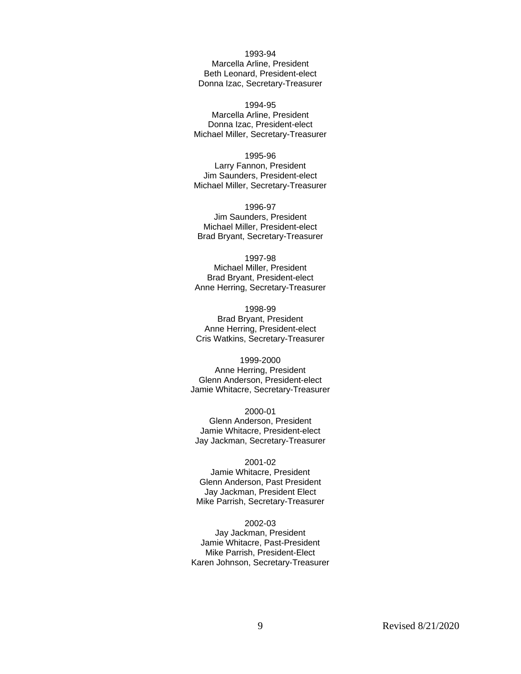1993-94 Marcella Arline, President Beth Leonard, President-elect Donna Izac, Secretary-Treasurer

1994-95 Marcella Arline, President Donna Izac, President-elect Michael Miller, Secretary-Treasurer

1995-96 Larry Fannon, President Jim Saunders, President-elect Michael Miller, Secretary-Treasurer

1996-97 Jim Saunders, President Michael Miller, President-elect Brad Bryant, Secretary-Treasurer

1997-98 Michael Miller, President Brad Bryant, President-elect Anne Herring, Secretary-Treasurer

1998-99 Brad Bryant, President Anne Herring, President-elect Cris Watkins, Secretary-Treasurer

1999-2000 Anne Herring, President Glenn Anderson, President-elect Jamie Whitacre, Secretary-Treasurer

2000-01 Glenn Anderson, President Jamie Whitacre, President-elect Jay Jackman, Secretary-Treasurer

## 2001-02 Jamie Whitacre, President Glenn Anderson, Past President Jay Jackman, President Elect Mike Parrish, Secretary-Treasurer

2002-03

Jay Jackman, President Jamie Whitacre, Past-President Mike Parrish, President-Elect Karen Johnson, Secretary-Treasurer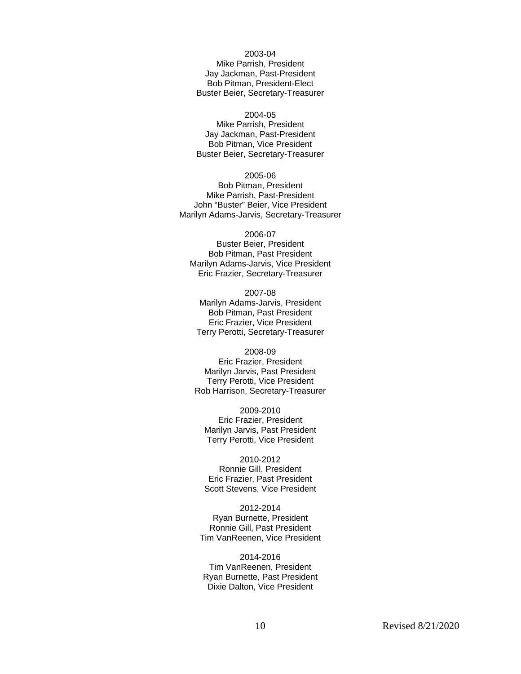2003-04

Mike Parrish, President Jay Jackman, Past-President Bob Pitman, President-Elect Buster Beier, Secretary-Treasurer

# 2004-05

Mike Parrish, President Jay Jackman, Past-President Bob Pitman, Vice President Buster Beier, Secretary-Treasurer

2005-06

Bob Pitman, President Mike Parrish, Past-President John "Buster" Beier, Vice President Marilyn Adams-Jarvis, Secretary-Treasurer

2006-07 Buster Beier, President Bob Pitman, Past President Marilyn Adams-Jarvis, Vice President Eric Frazier, Secretary-Treasurer

2007-08 Marilyn Adams-Jarvis, President Bob Pitman, Past President Eric Frazier, Vice President Terry Perotti, Secretary-Treasurer

2008-09 Eric Frazier, President Marilyn Jarvis, Past President Terry Perotti, Vice President Rob Harrison, Secretary-Treasurer

2009-2010 Eric Frazier, President Marilyn Jarvis, Past President Terry Perotti, Vice President

2010-2012 Ronnie Gill, President Eric Frazier, Past President Scott Stevens, Vice President

2012-2014 Ryan Burnette, President Ronnie Gill, Past President Tim VanReenen, Vice President

2014-2016 Tim VanReenen, President Ryan Burnette, Past President Dixie Dalton, Vice President